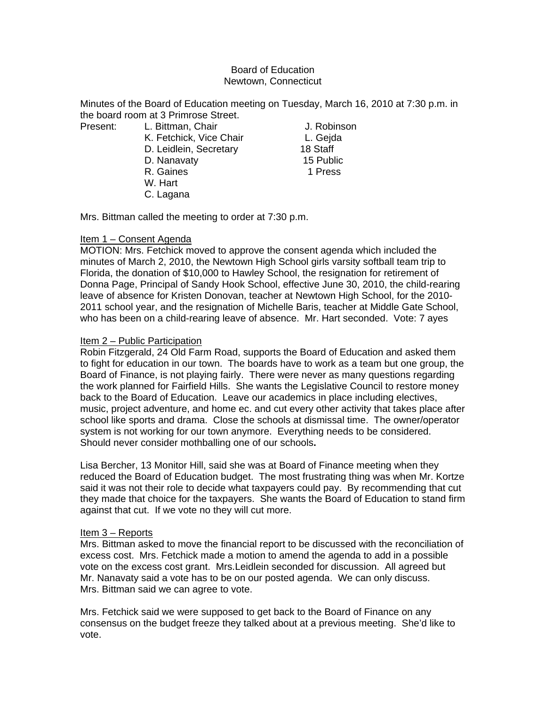## Board of Education Newtown, Connecticut

Minutes of the Board of Education meeting on Tuesday, March 16, 2010 at 7:30 p.m. in the board room at 3 Primrose Street.

- Present: L. Bittman, Chair J. Robinson
	- K. Fetchick, Vice Chair L. Gejda D. Leidlein, Secretary 18 Staff D. Nanavaty 15 Public R. Gaines **1 Press** W. Hart
	- C. Lagana

Mrs. Bittman called the meeting to order at 7:30 p.m.

# Item 1 – Consent Agenda

MOTION: Mrs. Fetchick moved to approve the consent agenda which included the minutes of March 2, 2010, the Newtown High School girls varsity softball team trip to Florida, the donation of \$10,000 to Hawley School, the resignation for retirement of Donna Page, Principal of Sandy Hook School, effective June 30, 2010, the child-rearing leave of absence for Kristen Donovan, teacher at Newtown High School, for the 2010- 2011 school year, and the resignation of Michelle Baris, teacher at Middle Gate School, who has been on a child-rearing leave of absence. Mr. Hart seconded. Vote: 7 ayes

# Item 2 – Public Participation

Robin Fitzgerald, 24 Old Farm Road, supports the Board of Education and asked them to fight for education in our town. The boards have to work as a team but one group, the Board of Finance, is not playing fairly. There were never as many questions regarding the work planned for Fairfield Hills. She wants the Legislative Council to restore money back to the Board of Education. Leave our academics in place including electives, music, project adventure, and home ec. and cut every other activity that takes place after school like sports and drama. Close the schools at dismissal time. The owner/operator system is not working for our town anymore. Everything needs to be considered. Should never consider mothballing one of our schools**.** 

Lisa Bercher, 13 Monitor Hill, said she was at Board of Finance meeting when they reduced the Board of Education budget. The most frustrating thing was when Mr. Kortze said it was not their role to decide what taxpayers could pay. By recommending that cut they made that choice for the taxpayers. She wants the Board of Education to stand firm against that cut. If we vote no they will cut more.

# Item 3 – Reports

Mrs. Bittman asked to move the financial report to be discussed with the reconciliation of excess cost. Mrs. Fetchick made a motion to amend the agenda to add in a possible vote on the excess cost grant. Mrs.Leidlein seconded for discussion.All agreed but Mr. Nanavaty said a vote has to be on our posted agenda. We can only discuss. Mrs. Bittman said we can agree to vote.

Mrs. Fetchick said we were supposed to get back to the Board of Finance on any consensus on the budget freeze they talked about at a previous meeting. She'd like to vote.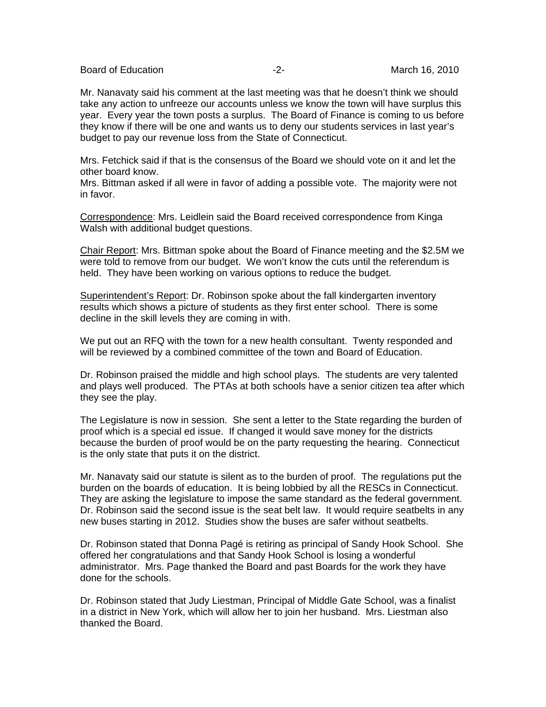Board of Education  $\overline{c}$ -2- The March 16, 2010

Mr. Nanavaty said his comment at the last meeting was that he doesn't think we should take any action to unfreeze our accounts unless we know the town will have surplus this year. Every year the town posts a surplus. The Board of Finance is coming to us before they know if there will be one and wants us to deny our students services in last year's budget to pay our revenue loss from the State of Connecticut.

Mrs. Fetchick said if that is the consensus of the Board we should vote on it and let the other board know.

Mrs. Bittman asked if all were in favor of adding a possible vote. The majority were not in favor.

Correspondence: Mrs. Leidlein said the Board received correspondence from Kinga Walsh with additional budget questions.

Chair Report: Mrs. Bittman spoke about the Board of Finance meeting and the \$2.5M we were told to remove from our budget. We won't know the cuts until the referendum is held. They have been working on various options to reduce the budget.

Superintendent's Report: Dr. Robinson spoke about the fall kindergarten inventory results which shows a picture of students as they first enter school. There is some decline in the skill levels they are coming in with.

We put out an RFQ with the town for a new health consultant. Twenty responded and will be reviewed by a combined committee of the town and Board of Education.

Dr. Robinson praised the middle and high school plays. The students are very talented and plays well produced. The PTAs at both schools have a senior citizen tea after which they see the play.

The Legislature is now in session. She sent a letter to the State regarding the burden of proof which is a special ed issue. If changed it would save money for the districts because the burden of proof would be on the party requesting the hearing. Connecticut is the only state that puts it on the district.

Mr. Nanavaty said our statute is silent as to the burden of proof. The regulations put the burden on the boards of education. It is being lobbied by all the RESCs in Connecticut. They are asking the legislature to impose the same standard as the federal government. Dr. Robinson said the second issue is the seat belt law. It would require seatbelts in any new buses starting in 2012. Studies show the buses are safer without seatbelts.

Dr. Robinson stated that Donna Pagé is retiring as principal of Sandy Hook School. She offered her congratulations and that Sandy Hook School is losing a wonderful administrator. Mrs. Page thanked the Board and past Boards for the work they have done for the schools.

Dr. Robinson stated that Judy Liestman, Principal of Middle Gate School, was a finalist in a district in New York, which will allow her to join her husband. Mrs. Liestman also thanked the Board.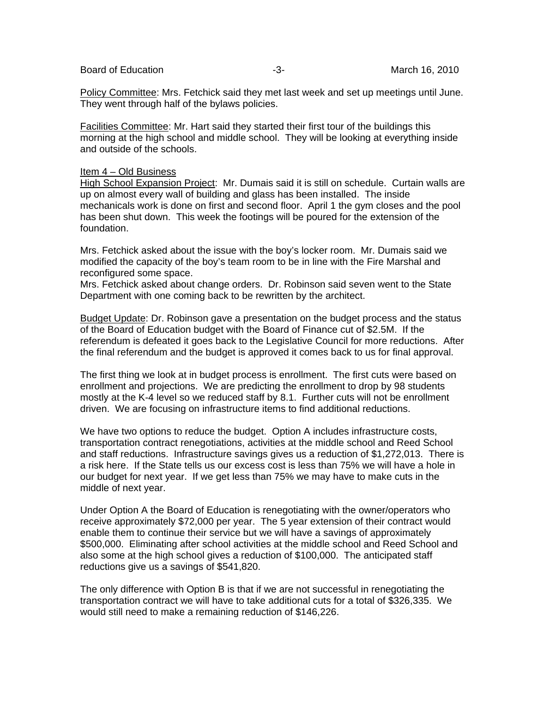Board of Education  $-3 -3-$  March 16, 2010

Policy Committee: Mrs. Fetchick said they met last week and set up meetings until June. They went through half of the bylaws policies.

Facilities Committee: Mr. Hart said they started their first tour of the buildings this morning at the high school and middle school. They will be looking at everything inside and outside of the schools.

## Item 4 – Old Business

High School Expansion Project: Mr. Dumais said it is still on schedule. Curtain walls are up on almost every wall of building and glass has been installed. The inside mechanicals work is done on first and second floor. April 1 the gym closes and the pool has been shut down. This week the footings will be poured for the extension of the foundation.

Mrs. Fetchick asked about the issue with the boy's locker room. Mr. Dumais said we modified the capacity of the boy's team room to be in line with the Fire Marshal and reconfigured some space.

Mrs. Fetchick asked about change orders. Dr. Robinson said seven went to the State Department with one coming back to be rewritten by the architect.

Budget Update: Dr. Robinson gave a presentation on the budget process and the status of the Board of Education budget with the Board of Finance cut of \$2.5M. If the referendum is defeated it goes back to the Legislative Council for more reductions. After the final referendum and the budget is approved it comes back to us for final approval.

The first thing we look at in budget process is enrollment. The first cuts were based on enrollment and projections. We are predicting the enrollment to drop by 98 students mostly at the K-4 level so we reduced staff by 8.1. Further cuts will not be enrollment driven. We are focusing on infrastructure items to find additional reductions.

We have two options to reduce the budget. Option A includes infrastructure costs, transportation contract renegotiations, activities at the middle school and Reed School and staff reductions. Infrastructure savings gives us a reduction of \$1,272,013. There is a risk here. If the State tells us our excess cost is less than 75% we will have a hole in our budget for next year. If we get less than 75% we may have to make cuts in the middle of next year.

Under Option A the Board of Education is renegotiating with the owner/operators who receive approximately \$72,000 per year. The 5 year extension of their contract would enable them to continue their service but we will have a savings of approximately \$500,000. Eliminating after school activities at the middle school and Reed School and also some at the high school gives a reduction of \$100,000. The anticipated staff reductions give us a savings of \$541,820.

The only difference with Option B is that if we are not successful in renegotiating the transportation contract we will have to take additional cuts for a total of \$326,335. We would still need to make a remaining reduction of \$146,226.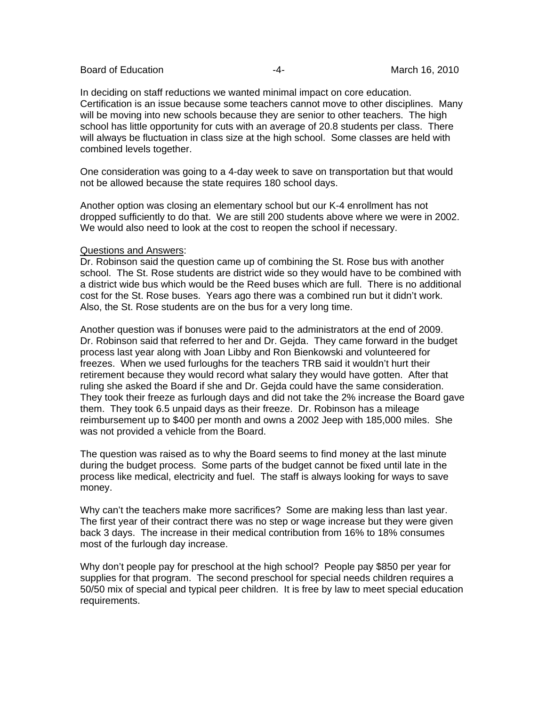|  |  |  | <b>Board of Education</b> |
|--|--|--|---------------------------|
|--|--|--|---------------------------|

In deciding on staff reductions we wanted minimal impact on core education. Certification is an issue because some teachers cannot move to other disciplines. Many will be moving into new schools because they are senior to other teachers. The high school has little opportunity for cuts with an average of 20.8 students per class. There will always be fluctuation in class size at the high school. Some classes are held with combined levels together.

One consideration was going to a 4-day week to save on transportation but that would not be allowed because the state requires 180 school days.

Another option was closing an elementary school but our K-4 enrollment has not dropped sufficiently to do that. We are still 200 students above where we were in 2002. We would also need to look at the cost to reopen the school if necessary.

## Questions and Answers:

Dr. Robinson said the question came up of combining the St. Rose bus with another school. The St. Rose students are district wide so they would have to be combined with a district wide bus which would be the Reed buses which are full. There is no additional cost for the St. Rose buses. Years ago there was a combined run but it didn't work. Also, the St. Rose students are on the bus for a very long time.

Another question was if bonuses were paid to the administrators at the end of 2009. Dr. Robinson said that referred to her and Dr. Gejda. They came forward in the budget process last year along with Joan Libby and Ron Bienkowski and volunteered for freezes. When we used furloughs for the teachers TRB said it wouldn't hurt their retirement because they would record what salary they would have gotten. After that ruling she asked the Board if she and Dr. Gejda could have the same consideration. They took their freeze as furlough days and did not take the 2% increase the Board gave them. They took 6.5 unpaid days as their freeze. Dr. Robinson has a mileage reimbursement up to \$400 per month and owns a 2002 Jeep with 185,000 miles. She was not provided a vehicle from the Board.

The question was raised as to why the Board seems to find money at the last minute during the budget process. Some parts of the budget cannot be fixed until late in the process like medical, electricity and fuel. The staff is always looking for ways to save money.

Why can't the teachers make more sacrifices? Some are making less than last year. The first year of their contract there was no step or wage increase but they were given back 3 days. The increase in their medical contribution from 16% to 18% consumes most of the furlough day increase.

Why don't people pay for preschool at the high school? People pay \$850 per year for supplies for that program. The second preschool for special needs children requires a 50/50 mix of special and typical peer children. It is free by law to meet special education requirements.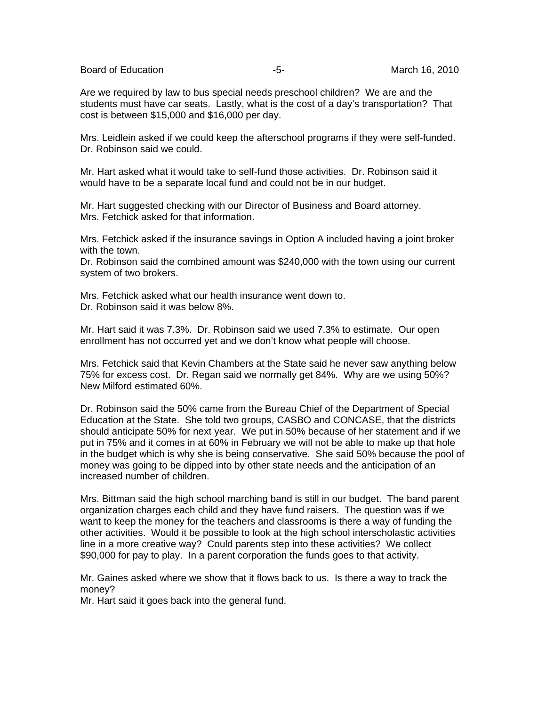Board of Education  $\overline{5}$ - 5- March 16, 2010

Are we required by law to bus special needs preschool children? We are and the students must have car seats. Lastly, what is the cost of a day's transportation? That cost is between \$15,000 and \$16,000 per day.

Mrs. Leidlein asked if we could keep the afterschool programs if they were self-funded. Dr. Robinson said we could.

Mr. Hart asked what it would take to self-fund those activities. Dr. Robinson said it would have to be a separate local fund and could not be in our budget.

Mr. Hart suggested checking with our Director of Business and Board attorney. Mrs. Fetchick asked for that information.

Mrs. Fetchick asked if the insurance savings in Option A included having a joint broker with the town.

Dr. Robinson said the combined amount was \$240,000 with the town using our current system of two brokers.

Mrs. Fetchick asked what our health insurance went down to. Dr. Robinson said it was below 8%.

Mr. Hart said it was 7.3%. Dr. Robinson said we used 7.3% to estimate. Our open enrollment has not occurred yet and we don't know what people will choose.

Mrs. Fetchick said that Kevin Chambers at the State said he never saw anything below 75% for excess cost. Dr. Regan said we normally get 84%. Why are we using 50%? New Milford estimated 60%.

Dr. Robinson said the 50% came from the Bureau Chief of the Department of Special Education at the State. She told two groups, CASBO and CONCASE, that the districts should anticipate 50% for next year. We put in 50% because of her statement and if we put in 75% and it comes in at 60% in February we will not be able to make up that hole in the budget which is why she is being conservative. She said 50% because the pool of money was going to be dipped into by other state needs and the anticipation of an increased number of children.

Mrs. Bittman said the high school marching band is still in our budget. The band parent organization charges each child and they have fund raisers. The question was if we want to keep the money for the teachers and classrooms is there a way of funding the other activities. Would it be possible to look at the high school interscholastic activities line in a more creative way? Could parents step into these activities? We collect \$90,000 for pay to play. In a parent corporation the funds goes to that activity.

Mr. Gaines asked where we show that it flows back to us. Is there a way to track the money?

Mr. Hart said it goes back into the general fund.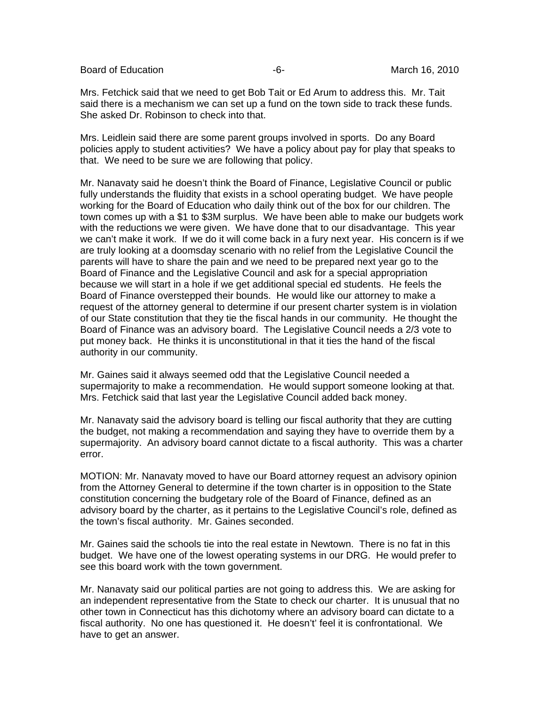Board of Education  $-6$ - Board of Education  $-6$ -

Mrs. Fetchick said that we need to get Bob Tait or Ed Arum to address this. Mr. Tait said there is a mechanism we can set up a fund on the town side to track these funds. She asked Dr. Robinson to check into that.

Mrs. Leidlein said there are some parent groups involved in sports. Do any Board policies apply to student activities? We have a policy about pay for play that speaks to that. We need to be sure we are following that policy.

Mr. Nanavaty said he doesn't think the Board of Finance, Legislative Council or public fully understands the fluidity that exists in a school operating budget. We have people working for the Board of Education who daily think out of the box for our children. The town comes up with a \$1 to \$3M surplus. We have been able to make our budgets work with the reductions we were given. We have done that to our disadvantage. This year we can't make it work. If we do it will come back in a fury next year. His concern is if we are truly looking at a doomsday scenario with no relief from the Legislative Council the parents will have to share the pain and we need to be prepared next year go to the Board of Finance and the Legislative Council and ask for a special appropriation because we will start in a hole if we get additional special ed students. He feels the Board of Finance overstepped their bounds. He would like our attorney to make a request of the attorney general to determine if our present charter system is in violation of our State constitution that they tie the fiscal hands in our community. He thought the Board of Finance was an advisory board. The Legislative Council needs a 2/3 vote to put money back. He thinks it is unconstitutional in that it ties the hand of the fiscal authority in our community.

Mr. Gaines said it always seemed odd that the Legislative Council needed a supermajority to make a recommendation. He would support someone looking at that. Mrs. Fetchick said that last year the Legislative Council added back money.

Mr. Nanavaty said the advisory board is telling our fiscal authority that they are cutting the budget, not making a recommendation and saying they have to override them by a supermajority. An advisory board cannot dictate to a fiscal authority. This was a charter error.

MOTION: Mr. Nanavaty moved to have our Board attorney request an advisory opinion from the Attorney General to determine if the town charter is in opposition to the State constitution concerning the budgetary role of the Board of Finance, defined as an advisory board by the charter, as it pertains to the Legislative Council's role, defined as the town's fiscal authority. Mr. Gaines seconded.

Mr. Gaines said the schools tie into the real estate in Newtown. There is no fat in this budget. We have one of the lowest operating systems in our DRG. He would prefer to see this board work with the town government.

Mr. Nanavaty said our political parties are not going to address this. We are asking for an independent representative from the State to check our charter. It is unusual that no other town in Connecticut has this dichotomy where an advisory board can dictate to a fiscal authority. No one has questioned it. He doesn't' feel it is confrontational. We have to get an answer.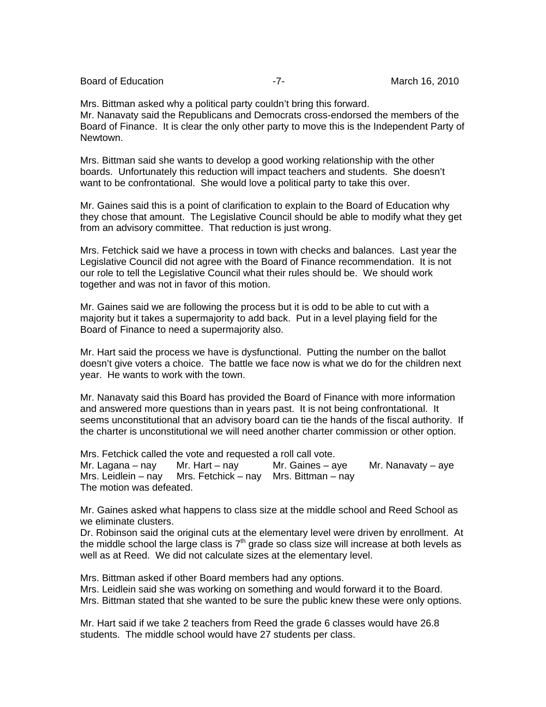Board of Education **-7-** Figure -7- **March 16, 2010** 

Mrs. Bittman asked why a political party couldn't bring this forward. Mr. Nanavaty said the Republicans and Democrats cross-endorsed the members of the Board of Finance. It is clear the only other party to move this is the Independent Party of Newtown.

Mrs. Bittman said she wants to develop a good working relationship with the other boards. Unfortunately this reduction will impact teachers and students. She doesn't want to be confrontational. She would love a political party to take this over.

Mr. Gaines said this is a point of clarification to explain to the Board of Education why they chose that amount. The Legislative Council should be able to modify what they get from an advisory committee. That reduction is just wrong.

Mrs. Fetchick said we have a process in town with checks and balances. Last year the Legislative Council did not agree with the Board of Finance recommendation. It is not our role to tell the Legislative Council what their rules should be. We should work together and was not in favor of this motion.

Mr. Gaines said we are following the process but it is odd to be able to cut with a majority but it takes a supermajority to add back. Put in a level playing field for the Board of Finance to need a supermajority also.

Mr. Hart said the process we have is dysfunctional. Putting the number on the ballot doesn't give voters a choice. The battle we face now is what we do for the children next year. He wants to work with the town.

Mr. Nanavaty said this Board has provided the Board of Finance with more information and answered more questions than in years past. It is not being confrontational. It seems unconstitutional that an advisory board can tie the hands of the fiscal authority. If the charter is unconstitutional we will need another charter commission or other option.

Mrs. Fetchick called the vote and requested a roll call vote.

Mr. Lagana – nay Mr. Hart – nay Mr. Gaines – aye Mr. Nanavaty – aye Mrs. Leidlein – nay Mrs. Fetchick – nay Mrs. Bittman – nay The motion was defeated.

Mr. Gaines asked what happens to class size at the middle school and Reed School as we eliminate clusters.

Dr. Robinson said the original cuts at the elementary level were driven by enrollment. At the middle school the large class is  $7<sup>th</sup>$  grade so class size will increase at both levels as well as at Reed. We did not calculate sizes at the elementary level.

Mrs. Bittman asked if other Board members had any options. Mrs. Leidlein said she was working on something and would forward it to the Board. Mrs. Bittman stated that she wanted to be sure the public knew these were only options.

Mr. Hart said if we take 2 teachers from Reed the grade 6 classes would have 26.8 students. The middle school would have 27 students per class.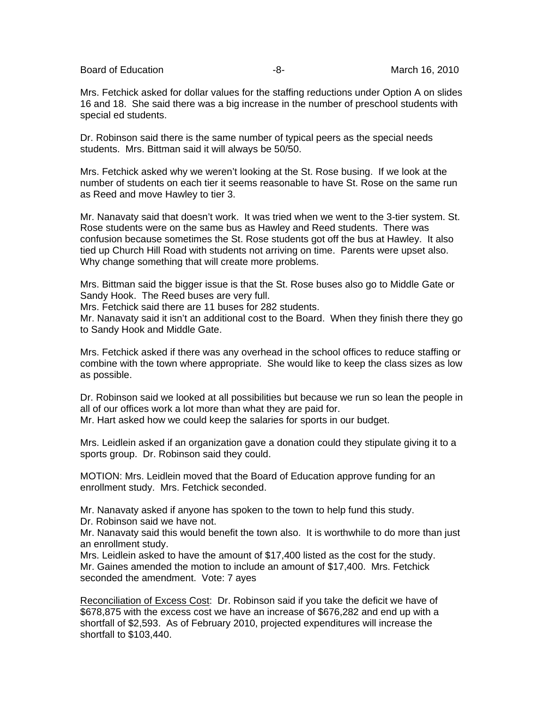Board of Education  $-8 -8-$  March 16, 2010

Mrs. Fetchick asked for dollar values for the staffing reductions under Option A on slides 16 and 18. She said there was a big increase in the number of preschool students with special ed students.

Dr. Robinson said there is the same number of typical peers as the special needs students. Mrs. Bittman said it will always be 50/50.

Mrs. Fetchick asked why we weren't looking at the St. Rose busing. If we look at the number of students on each tier it seems reasonable to have St. Rose on the same run as Reed and move Hawley to tier 3.

Mr. Nanavaty said that doesn't work. It was tried when we went to the 3-tier system. St. Rose students were on the same bus as Hawley and Reed students. There was confusion because sometimes the St. Rose students got off the bus at Hawley. It also tied up Church Hill Road with students not arriving on time. Parents were upset also. Why change something that will create more problems.

Mrs. Bittman said the bigger issue is that the St. Rose buses also go to Middle Gate or Sandy Hook. The Reed buses are very full.

Mrs. Fetchick said there are 11 buses for 282 students.

Mr. Nanavaty said it isn't an additional cost to the Board. When they finish there they go to Sandy Hook and Middle Gate.

Mrs. Fetchick asked if there was any overhead in the school offices to reduce staffing or combine with the town where appropriate. She would like to keep the class sizes as low as possible.

Dr. Robinson said we looked at all possibilities but because we run so lean the people in all of our offices work a lot more than what they are paid for.

Mr. Hart asked how we could keep the salaries for sports in our budget.

Mrs. Leidlein asked if an organization gave a donation could they stipulate giving it to a sports group. Dr. Robinson said they could.

MOTION: Mrs. Leidlein moved that the Board of Education approve funding for an enrollment study. Mrs. Fetchick seconded.

Mr. Nanavaty asked if anyone has spoken to the town to help fund this study.

Dr. Robinson said we have not.

Mr. Nanavaty said this would benefit the town also. It is worthwhile to do more than just an enrollment study.

Mrs. Leidlein asked to have the amount of \$17,400 listed as the cost for the study. Mr. Gaines amended the motion to include an amount of \$17,400. Mrs. Fetchick seconded the amendment. Vote: 7 ayes

Reconciliation of Excess Cost: Dr. Robinson said if you take the deficit we have of \$678,875 with the excess cost we have an increase of \$676,282 and end up with a shortfall of \$2,593. As of February 2010, projected expenditures will increase the shortfall to \$103,440.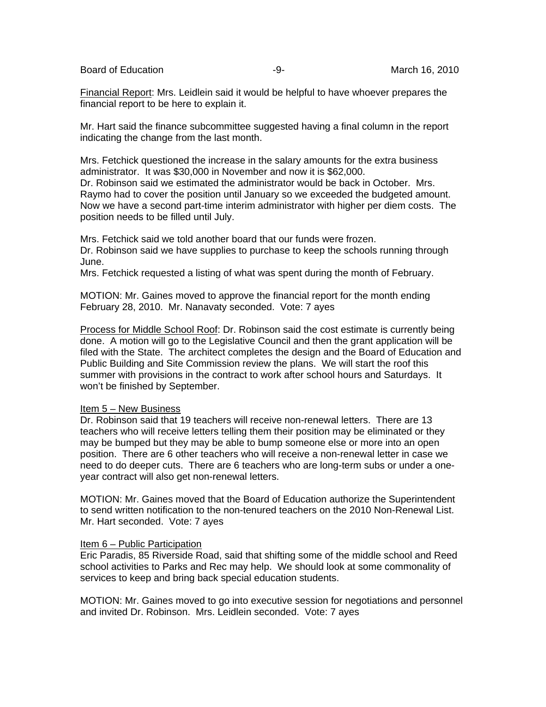Board of Education  $-9 -9-$  March 16, 2010

Financial Report: Mrs. Leidlein said it would be helpful to have whoever prepares the financial report to be here to explain it.

Mr. Hart said the finance subcommittee suggested having a final column in the report indicating the change from the last month.

Mrs. Fetchick questioned the increase in the salary amounts for the extra business administrator. It was \$30,000 in November and now it is \$62,000. Dr. Robinson said we estimated the administrator would be back in October. Mrs. Raymo had to cover the position until January so we exceeded the budgeted amount. Now we have a second part-time interim administrator with higher per diem costs. The position needs to be filled until July.

Mrs. Fetchick said we told another board that our funds were frozen. Dr. Robinson said we have supplies to purchase to keep the schools running through June.

Mrs. Fetchick requested a listing of what was spent during the month of February.

MOTION: Mr. Gaines moved to approve the financial report for the month ending February 28, 2010. Mr. Nanavaty seconded. Vote: 7 ayes

Process for Middle School Roof: Dr. Robinson said the cost estimate is currently being done. A motion will go to the Legislative Council and then the grant application will be filed with the State. The architect completes the design and the Board of Education and Public Building and Site Commission review the plans. We will start the roof this summer with provisions in the contract to work after school hours and Saturdays. It won't be finished by September.

## Item 5 – New Business

Dr. Robinson said that 19 teachers will receive non-renewal letters. There are 13 teachers who will receive letters telling them their position may be eliminated or they may be bumped but they may be able to bump someone else or more into an open position. There are 6 other teachers who will receive a non-renewal letter in case we need to do deeper cuts. There are 6 teachers who are long-term subs or under a oneyear contract will also get non-renewal letters.

MOTION: Mr. Gaines moved that the Board of Education authorize the Superintendent to send written notification to the non-tenured teachers on the 2010 Non-Renewal List. Mr. Hart seconded. Vote: 7 ayes

## Item 6 – Public Participation

Eric Paradis, 85 Riverside Road, said that shifting some of the middle school and Reed school activities to Parks and Rec may help. We should look at some commonality of services to keep and bring back special education students.

MOTION: Mr. Gaines moved to go into executive session for negotiations and personnel and invited Dr. Robinson. Mrs. Leidlein seconded. Vote: 7 ayes